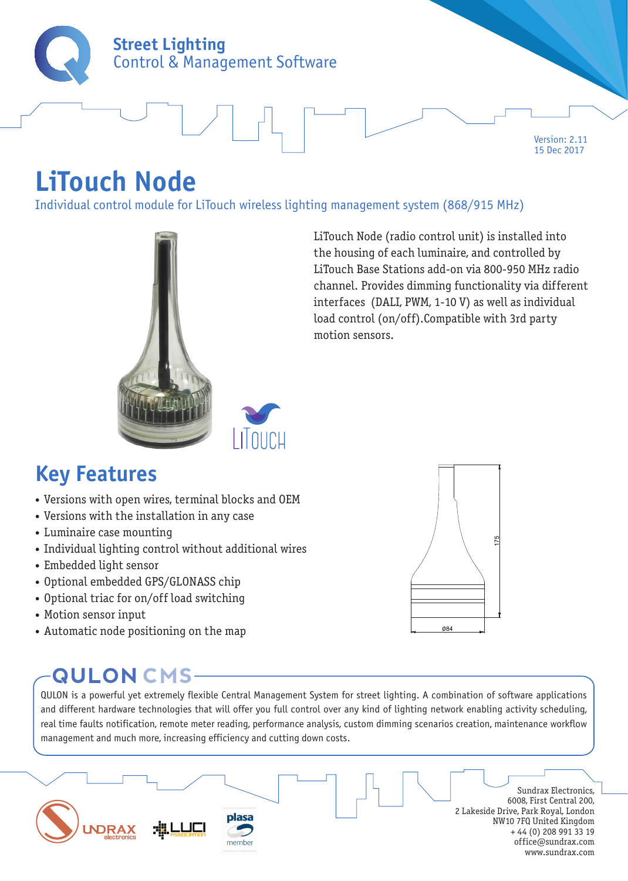

Version: 2.11 15 Dec 2017

# **LiTouch Node**

Individual control module for LiTouch wireless lighting management system (868/915 MHz)





175

∅84

### **Key Features**

- Versions with open wires, terminal blocks and OEM
- Versions with the installation in any case
- Luminaire case mounting
- Individual lighting control without additional wires
- Embedded light sensor
- Optional embedded GPS/GLONASS chip
- Optional triac for on/off load switching
- Motion sensor input
- Automatic node positioning on the map

### **QULON CMS-**

QULON is a powerful yet extremely flexible Central Management System for street lighting. A combination of software applications and different hardware technologies that will offer you full control over any kind of lighting network enabling activity scheduling, real time faults notification, remote meter reading, performance analysis, custom dimming scenarios creation, maintenance workflow management and much more, increasing efficiency and cutting down costs.

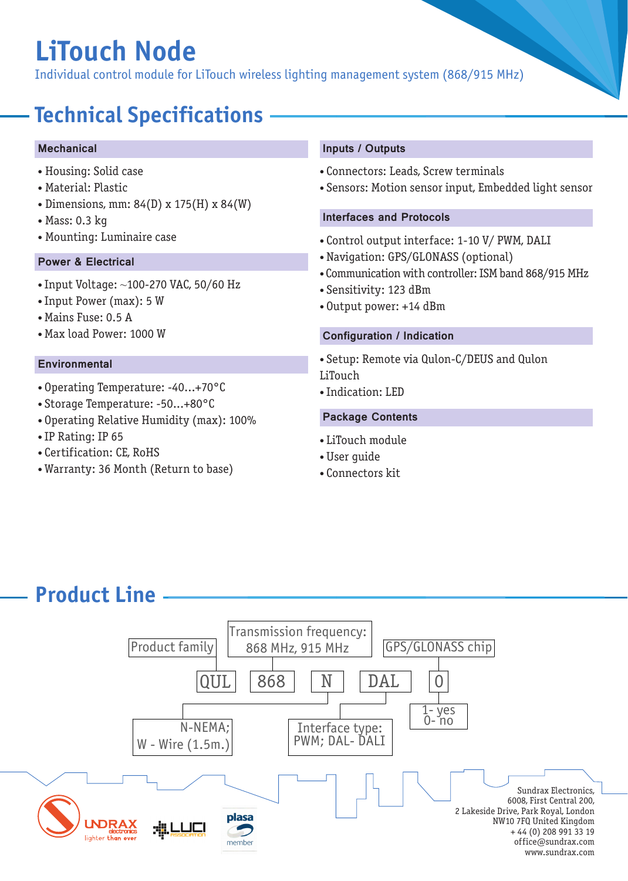# **LiTouch Node**

Individual control module for LiTouch wireless lighting management system (868/915 MHz)

## **Technical Specifications**

#### **Mechanical**

- Housing: Solid case
- Material: Plastic
- Dimensions, mm: 84(D) x 175(H) x 84(W)
- Mass: 0.3 kg
- 

#### Power & Electrical

- Input Voltage: ~100-270 VAC, 50/60 Hz
- Input Power (max): 5 W
- Mains Fuse: 0.5 A
- Max load Power: 1000 W

#### **Environmental**

- Operating Temperature: -40...+70°C
- Storage Temperature: -50...+80°C
- Operating Relative Humidity (max): 100%
- IP Rating: IP 65
- Certification: CE, RoHS
- Warranty: 36 Month (Return to base)

#### Inputs / Outputs

- Connectors: Leads, Screw terminals
- Sensors: Motion sensor input, Embedded light sensor

#### Interfaces and Protocols

- Mounting: Luminaire case  **Control output interface: 1-10 V/ PWM, DALI** 
	- Navigation: GPS/GLONASS (optional)
	- Communication with controller: ISM band 868/915 MHz
	- Sensitivity: 123 dBm
	- Output power: +14 dBm

#### Configuration / Indication

• Setup: Remote via Qulon-C/DEUS and Qulon LiTouch

• Indication: LED

#### Package Contents

- LiTouch module
- User guide
- Connectors kit

### **Product Line**